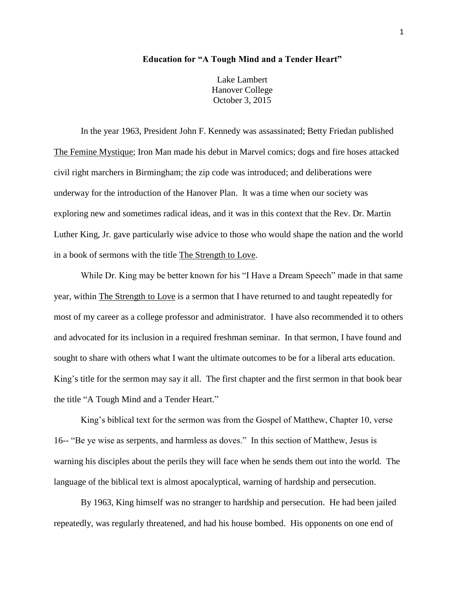## **Education for "A Tough Mind and a Tender Heart"**

Lake Lambert Hanover College October 3, 2015

In the year 1963, President John F. Kennedy was assassinated; Betty Friedan published The Femine Mystique; Iron Man made his debut in Marvel comics; dogs and fire hoses attacked civil right marchers in Birmingham; the zip code was introduced; and deliberations were underway for the introduction of the Hanover Plan. It was a time when our society was exploring new and sometimes radical ideas, and it was in this context that the Rev. Dr. Martin Luther King, Jr. gave particularly wise advice to those who would shape the nation and the world in a book of sermons with the title The Strength to Love.

While Dr. King may be better known for his "I Have a Dream Speech" made in that same year, within The Strength to Love is a sermon that I have returned to and taught repeatedly for most of my career as a college professor and administrator. I have also recommended it to others and advocated for its inclusion in a required freshman seminar. In that sermon, I have found and sought to share with others what I want the ultimate outcomes to be for a liberal arts education. King's title for the sermon may say it all. The first chapter and the first sermon in that book bear the title "A Tough Mind and a Tender Heart."

King's biblical text for the sermon was from the Gospel of Matthew, Chapter 10, verse 16-- "Be ye wise as serpents, and harmless as doves." In this section of Matthew, Jesus is warning his disciples about the perils they will face when he sends them out into the world. The language of the biblical text is almost apocalyptical, warning of hardship and persecution.

By 1963, King himself was no stranger to hardship and persecution. He had been jailed repeatedly, was regularly threatened, and had his house bombed. His opponents on one end of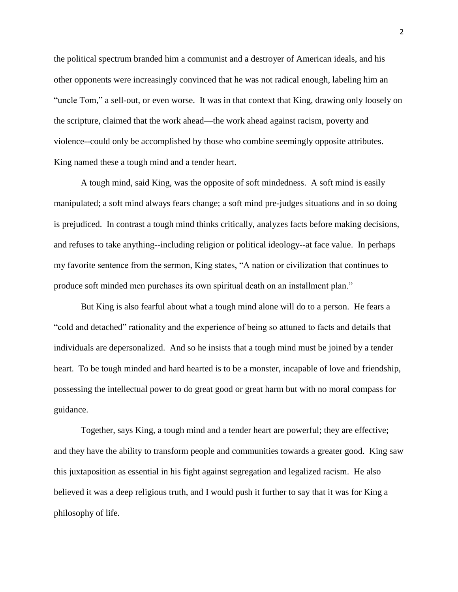the political spectrum branded him a communist and a destroyer of American ideals, and his other opponents were increasingly convinced that he was not radical enough, labeling him an "uncle Tom," a sell-out, or even worse. It was in that context that King, drawing only loosely on the scripture, claimed that the work ahead—the work ahead against racism, poverty and violence--could only be accomplished by those who combine seemingly opposite attributes. King named these a tough mind and a tender heart.

A tough mind, said King, was the opposite of soft mindedness. A soft mind is easily manipulated; a soft mind always fears change; a soft mind pre-judges situations and in so doing is prejudiced. In contrast a tough mind thinks critically, analyzes facts before making decisions, and refuses to take anything--including religion or political ideology--at face value. In perhaps my favorite sentence from the sermon, King states, "A nation or civilization that continues to produce soft minded men purchases its own spiritual death on an installment plan."

But King is also fearful about what a tough mind alone will do to a person. He fears a "cold and detached" rationality and the experience of being so attuned to facts and details that individuals are depersonalized. And so he insists that a tough mind must be joined by a tender heart. To be tough minded and hard hearted is to be a monster, incapable of love and friendship, possessing the intellectual power to do great good or great harm but with no moral compass for guidance.

Together, says King, a tough mind and a tender heart are powerful; they are effective; and they have the ability to transform people and communities towards a greater good. King saw this juxtaposition as essential in his fight against segregation and legalized racism. He also believed it was a deep religious truth, and I would push it further to say that it was for King a philosophy of life.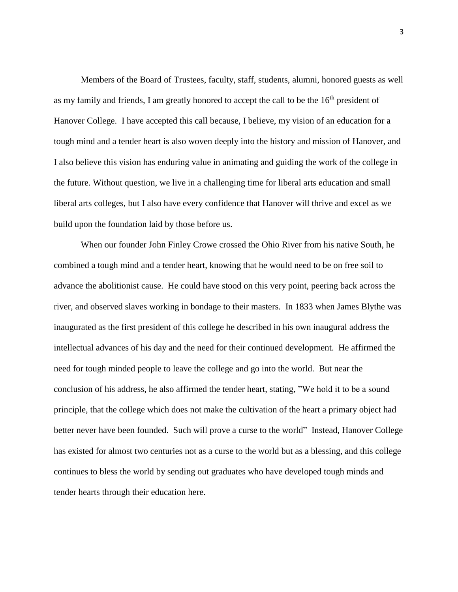Members of the Board of Trustees, faculty, staff, students, alumni, honored guests as well as my family and friends, I am greatly honored to accept the call to be the  $16<sup>th</sup>$  president of Hanover College. I have accepted this call because, I believe, my vision of an education for a tough mind and a tender heart is also woven deeply into the history and mission of Hanover, and I also believe this vision has enduring value in animating and guiding the work of the college in the future. Without question, we live in a challenging time for liberal arts education and small liberal arts colleges, but I also have every confidence that Hanover will thrive and excel as we build upon the foundation laid by those before us.

When our founder John Finley Crowe crossed the Ohio River from his native South, he combined a tough mind and a tender heart, knowing that he would need to be on free soil to advance the abolitionist cause. He could have stood on this very point, peering back across the river, and observed slaves working in bondage to their masters. In 1833 when James Blythe was inaugurated as the first president of this college he described in his own inaugural address the intellectual advances of his day and the need for their continued development. He affirmed the need for tough minded people to leave the college and go into the world. But near the conclusion of his address, he also affirmed the tender heart, stating, "We hold it to be a sound principle, that the college which does not make the cultivation of the heart a primary object had better never have been founded. Such will prove a curse to the world" Instead, Hanover College has existed for almost two centuries not as a curse to the world but as a blessing, and this college continues to bless the world by sending out graduates who have developed tough minds and tender hearts through their education here.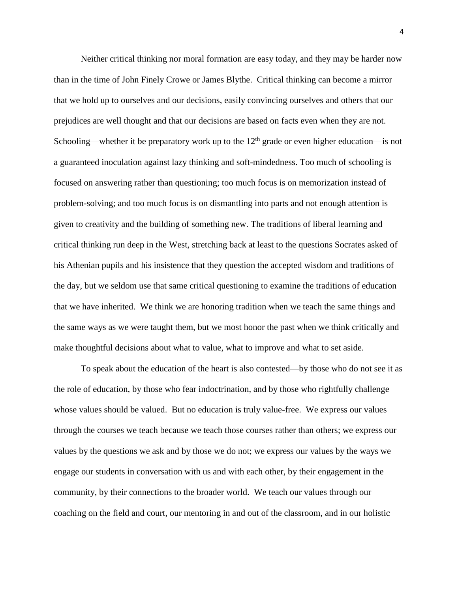Neither critical thinking nor moral formation are easy today, and they may be harder now than in the time of John Finely Crowe or James Blythe. Critical thinking can become a mirror that we hold up to ourselves and our decisions, easily convincing ourselves and others that our prejudices are well thought and that our decisions are based on facts even when they are not. Schooling—whether it be preparatory work up to the  $12<sup>th</sup>$  grade or even higher education—is not a guaranteed inoculation against lazy thinking and soft-mindedness. Too much of schooling is focused on answering rather than questioning; too much focus is on memorization instead of problem-solving; and too much focus is on dismantling into parts and not enough attention is given to creativity and the building of something new. The traditions of liberal learning and critical thinking run deep in the West, stretching back at least to the questions Socrates asked of his Athenian pupils and his insistence that they question the accepted wisdom and traditions of the day, but we seldom use that same critical questioning to examine the traditions of education that we have inherited. We think we are honoring tradition when we teach the same things and the same ways as we were taught them, but we most honor the past when we think critically and make thoughtful decisions about what to value, what to improve and what to set aside.

To speak about the education of the heart is also contested—by those who do not see it as the role of education, by those who fear indoctrination, and by those who rightfully challenge whose values should be valued. But no education is truly value-free. We express our values through the courses we teach because we teach those courses rather than others; we express our values by the questions we ask and by those we do not; we express our values by the ways we engage our students in conversation with us and with each other, by their engagement in the community, by their connections to the broader world. We teach our values through our coaching on the field and court, our mentoring in and out of the classroom, and in our holistic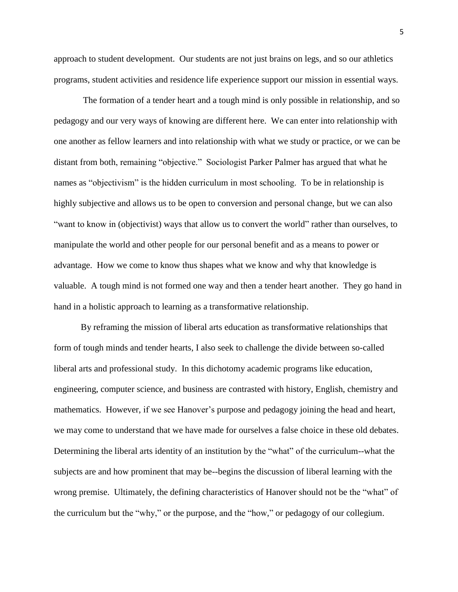approach to student development. Our students are not just brains on legs, and so our athletics programs, student activities and residence life experience support our mission in essential ways.

The formation of a tender heart and a tough mind is only possible in relationship, and so pedagogy and our very ways of knowing are different here. We can enter into relationship with one another as fellow learners and into relationship with what we study or practice, or we can be distant from both, remaining "objective." Sociologist Parker Palmer has argued that what he names as "objectivism" is the hidden curriculum in most schooling. To be in relationship is highly subjective and allows us to be open to conversion and personal change, but we can also "want to know in (objectivist) ways that allow us to convert the world" rather than ourselves, to manipulate the world and other people for our personal benefit and as a means to power or advantage. How we come to know thus shapes what we know and why that knowledge is valuable. A tough mind is not formed one way and then a tender heart another. They go hand in hand in a holistic approach to learning as a transformative relationship.

By reframing the mission of liberal arts education as transformative relationships that form of tough minds and tender hearts, I also seek to challenge the divide between so-called liberal arts and professional study. In this dichotomy academic programs like education, engineering, computer science, and business are contrasted with history, English, chemistry and mathematics. However, if we see Hanover's purpose and pedagogy joining the head and heart, we may come to understand that we have made for ourselves a false choice in these old debates. Determining the liberal arts identity of an institution by the "what" of the curriculum--what the subjects are and how prominent that may be--begins the discussion of liberal learning with the wrong premise. Ultimately, the defining characteristics of Hanover should not be the "what" of the curriculum but the "why," or the purpose, and the "how," or pedagogy of our collegium.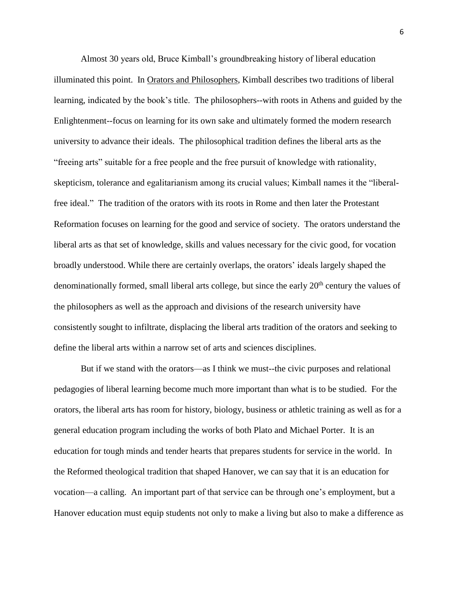Almost 30 years old, Bruce Kimball's groundbreaking history of liberal education illuminated this point. In Orators and Philosophers, Kimball describes two traditions of liberal learning, indicated by the book's title. The philosophers--with roots in Athens and guided by the Enlightenment--focus on learning for its own sake and ultimately formed the modern research university to advance their ideals. The philosophical tradition defines the liberal arts as the "freeing arts" suitable for a free people and the free pursuit of knowledge with rationality, skepticism, tolerance and egalitarianism among its crucial values; Kimball names it the "liberalfree ideal." The tradition of the orators with its roots in Rome and then later the Protestant Reformation focuses on learning for the good and service of society. The orators understand the liberal arts as that set of knowledge, skills and values necessary for the civic good, for vocation broadly understood. While there are certainly overlaps, the orators' ideals largely shaped the denominationally formed, small liberal arts college, but since the early  $20<sup>th</sup>$  century the values of the philosophers as well as the approach and divisions of the research university have consistently sought to infiltrate, displacing the liberal arts tradition of the orators and seeking to define the liberal arts within a narrow set of arts and sciences disciplines.

But if we stand with the orators—as I think we must--the civic purposes and relational pedagogies of liberal learning become much more important than what is to be studied. For the orators, the liberal arts has room for history, biology, business or athletic training as well as for a general education program including the works of both Plato and Michael Porter. It is an education for tough minds and tender hearts that prepares students for service in the world. In the Reformed theological tradition that shaped Hanover, we can say that it is an education for vocation—a calling. An important part of that service can be through one's employment, but a Hanover education must equip students not only to make a living but also to make a difference as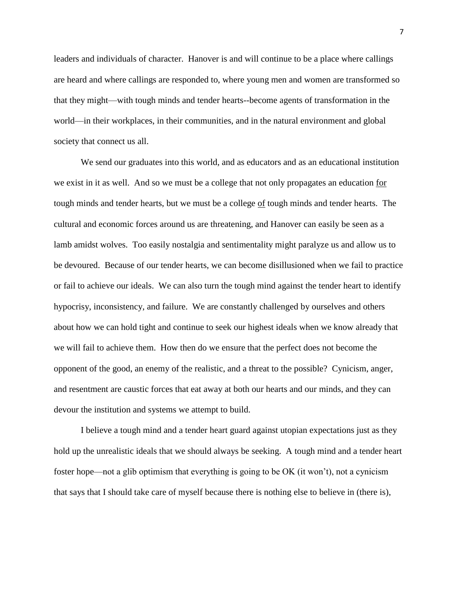leaders and individuals of character. Hanover is and will continue to be a place where callings are heard and where callings are responded to, where young men and women are transformed so that they might—with tough minds and tender hearts--become agents of transformation in the world—in their workplaces, in their communities, and in the natural environment and global society that connect us all.

We send our graduates into this world, and as educators and as an educational institution we exist in it as well. And so we must be a college that not only propagates an education for tough minds and tender hearts, but we must be a college of tough minds and tender hearts. The cultural and economic forces around us are threatening, and Hanover can easily be seen as a lamb amidst wolves. Too easily nostalgia and sentimentality might paralyze us and allow us to be devoured. Because of our tender hearts, we can become disillusioned when we fail to practice or fail to achieve our ideals. We can also turn the tough mind against the tender heart to identify hypocrisy, inconsistency, and failure. We are constantly challenged by ourselves and others about how we can hold tight and continue to seek our highest ideals when we know already that we will fail to achieve them. How then do we ensure that the perfect does not become the opponent of the good, an enemy of the realistic, and a threat to the possible? Cynicism, anger, and resentment are caustic forces that eat away at both our hearts and our minds, and they can devour the institution and systems we attempt to build.

I believe a tough mind and a tender heart guard against utopian expectations just as they hold up the unrealistic ideals that we should always be seeking. A tough mind and a tender heart foster hope—not a glib optimism that everything is going to be OK (it won't), not a cynicism that says that I should take care of myself because there is nothing else to believe in (there is),